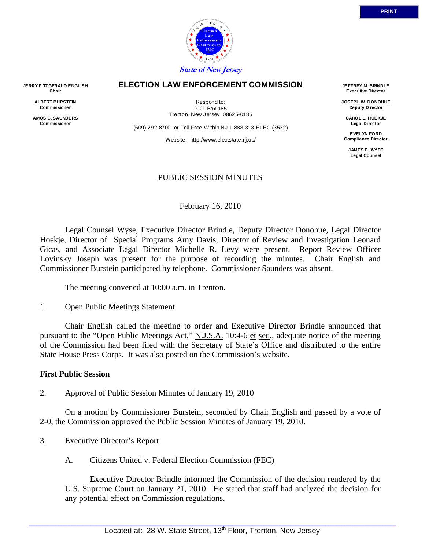

#### **ELECTION LAW ENFORCEMENT COMMISSION**

Trenton, New Jersey 08625-0185

(609) 292-8700 or Toll Free Within NJ 1-888-313-ELEC (3532)

Respond to: P.O. Box 185

Website: http://www.elec.state.nj.us/

#### PUBLIC SESSION MINUTES

#### February 16, 2010

 Legal Counsel Wyse, Executive Director Brindle, Deputy Director Donohue, Legal Director Hoekje, Director of Special Programs Amy Davis, Director of Review and Investigation Leonard Gicas, and Associate Legal Director Michelle R. Levy were present. Report Review Officer Lovinsky Joseph was present for the purpose of recording the minutes. Chair English and Commissioner Burstein participated by telephone. Commissioner Saunders was absent.

The meeting convened at 10:00 a.m. in Trenton.

#### 1. Open Public Meetings Statement

 Chair English called the meeting to order and Executive Director Brindle announced that pursuant to the "Open Public Meetings Act," N.J.S.A. 10:4-6 et seq., adequate notice of the meeting of the Commission had been filed with the Secretary of State's Office and distributed to the entire State House Press Corps. It was also posted on the Commission's website.

#### **First Public Session**

#### 2. Approval of Public Session Minutes of January 19, 2010

 On a motion by Commissioner Burstein, seconded by Chair English and passed by a vote of 2-0, the Commission approved the Public Session Minutes of January 19, 2010.

- 3. Executive Director's Report
	- A. Citizens United v. Federal Election Commission (FEC)

 Executive Director Brindle informed the Commission of the decision rendered by the U.S. Supreme Court on January 21, 2010. He stated that staff had analyzed the decision for any potential effect on Commission regulations.

**ALBERT BURSTEIN Commissioner** 

**AMOS C. SAUNDERS Commissioner** 

**JOSEPH W. DONOHUE Deputy Director** 

**CAROL L. HOEKJE Legal Director** 

**EVELYN FORD Compliance Director** 

> **JAMES P. WYSE Legal Counsel**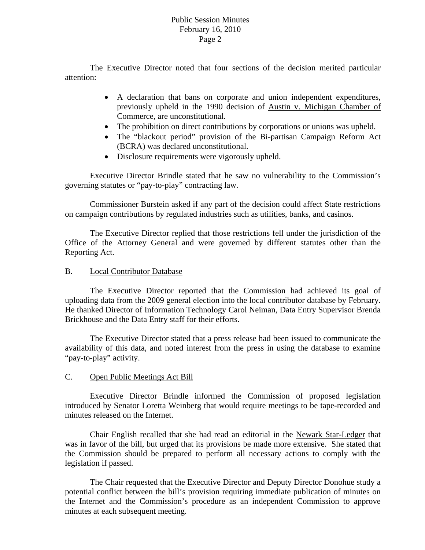#### Public Session Minutes February 16, 2010 Page 2

 The Executive Director noted that four sections of the decision merited particular attention:

- A declaration that bans on corporate and union independent expenditures, previously upheld in the 1990 decision of Austin v. Michigan Chamber of Commerce, are unconstitutional.
- The prohibition on direct contributions by corporations or unions was upheld.
- The "blackout period" provision of the Bi-partisan Campaign Reform Act (BCRA) was declared unconstitutional.
- Disclosure requirements were vigorously upheld.

 Executive Director Brindle stated that he saw no vulnerability to the Commission's governing statutes or "pay-to-play" contracting law.

 Commissioner Burstein asked if any part of the decision could affect State restrictions on campaign contributions by regulated industries such as utilities, banks, and casinos.

 The Executive Director replied that those restrictions fell under the jurisdiction of the Office of the Attorney General and were governed by different statutes other than the Reporting Act.

#### B. Local Contributor Database

 The Executive Director reported that the Commission had achieved its goal of uploading data from the 2009 general election into the local contributor database by February. He thanked Director of Information Technology Carol Neiman, Data Entry Supervisor Brenda Brickhouse and the Data Entry staff for their efforts.

 The Executive Director stated that a press release had been issued to communicate the availability of this data, and noted interest from the press in using the database to examine "pay-to-play" activity.

### C. Open Public Meetings Act Bill

 Executive Director Brindle informed the Commission of proposed legislation introduced by Senator Loretta Weinberg that would require meetings to be tape-recorded and minutes released on the Internet.

 Chair English recalled that she had read an editorial in the Newark Star-Ledger that was in favor of the bill, but urged that its provisions be made more extensive. She stated that the Commission should be prepared to perform all necessary actions to comply with the legislation if passed.

 The Chair requested that the Executive Director and Deputy Director Donohue study a potential conflict between the bill's provision requiring immediate publication of minutes on the Internet and the Commission's procedure as an independent Commission to approve minutes at each subsequent meeting.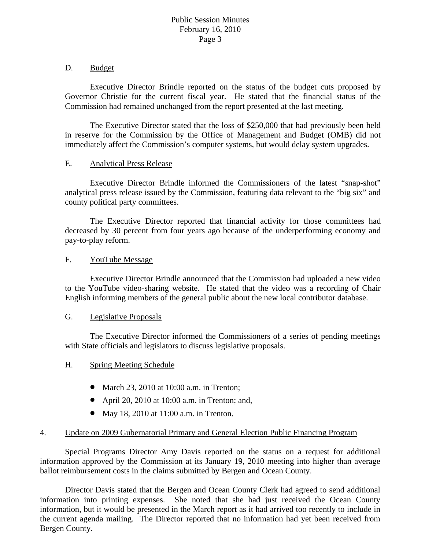#### D. Budget

 Executive Director Brindle reported on the status of the budget cuts proposed by Governor Christie for the current fiscal year. He stated that the financial status of the Commission had remained unchanged from the report presented at the last meeting.

 The Executive Director stated that the loss of \$250,000 that had previously been held in reserve for the Commission by the Office of Management and Budget (OMB) did not immediately affect the Commission's computer systems, but would delay system upgrades.

### E. Analytical Press Release

 Executive Director Brindle informed the Commissioners of the latest "snap-shot" analytical press release issued by the Commission, featuring data relevant to the "big six" and county political party committees.

 The Executive Director reported that financial activity for those committees had decreased by 30 percent from four years ago because of the underperforming economy and pay-to-play reform.

### F. YouTube Message

 Executive Director Brindle announced that the Commission had uploaded a new video to the YouTube video-sharing website. He stated that the video was a recording of Chair English informing members of the general public about the new local contributor database.

#### G. Legislative Proposals

 The Executive Director informed the Commissioners of a series of pending meetings with State officials and legislators to discuss legislative proposals.

#### H. Spring Meeting Schedule

- March 23, 2010 at 10:00 a.m. in Trenton;
- April 20, 2010 at 10:00 a.m. in Trenton; and,
- May 18, 2010 at 11:00 a.m. in Trenton.

# 4. Update on 2009 Gubernatorial Primary and General Election Public Financing Program

 Special Programs Director Amy Davis reported on the status on a request for additional information approved by the Commission at its January 19, 2010 meeting into higher than average ballot reimbursement costs in the claims submitted by Bergen and Ocean County.

 Director Davis stated that the Bergen and Ocean County Clerk had agreed to send additional information into printing expenses. She noted that she had just received the Ocean County information, but it would be presented in the March report as it had arrived too recently to include in the current agenda mailing. The Director reported that no information had yet been received from Bergen County.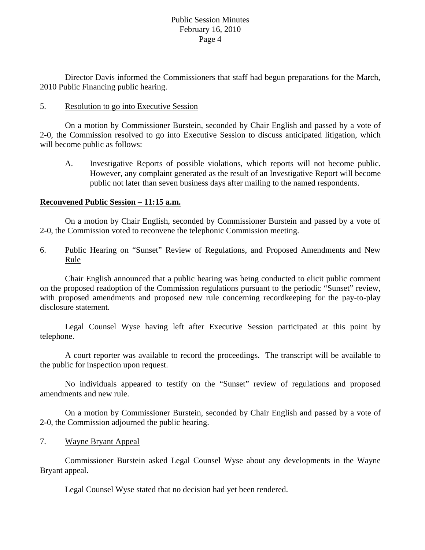#### Public Session Minutes February 16, 2010 Page 4

 Director Davis informed the Commissioners that staff had begun preparations for the March, 2010 Public Financing public hearing.

#### 5. Resolution to go into Executive Session

 On a motion by Commissioner Burstein, seconded by Chair English and passed by a vote of 2-0, the Commission resolved to go into Executive Session to discuss anticipated litigation, which will become public as follows:

A. Investigative Reports of possible violations, which reports will not become public. However, any complaint generated as the result of an Investigative Report will become public not later than seven business days after mailing to the named respondents.

### **Reconvened Public Session – 11:15 a.m.**

 On a motion by Chair English, seconded by Commissioner Burstein and passed by a vote of 2-0, the Commission voted to reconvene the telephonic Commission meeting.

6. Public Hearing on "Sunset" Review of Regulations, and Proposed Amendments and New Rule

 Chair English announced that a public hearing was being conducted to elicit public comment on the proposed readoption of the Commission regulations pursuant to the periodic "Sunset" review, with proposed amendments and proposed new rule concerning recordkeeping for the pay-to-play disclosure statement.

 Legal Counsel Wyse having left after Executive Session participated at this point by telephone.

 A court reporter was available to record the proceedings. The transcript will be available to the public for inspection upon request.

 No individuals appeared to testify on the "Sunset" review of regulations and proposed amendments and new rule.

 On a motion by Commissioner Burstein, seconded by Chair English and passed by a vote of 2-0, the Commission adjourned the public hearing.

# 7. Wayne Bryant Appeal

 Commissioner Burstein asked Legal Counsel Wyse about any developments in the Wayne Bryant appeal.

Legal Counsel Wyse stated that no decision had yet been rendered.